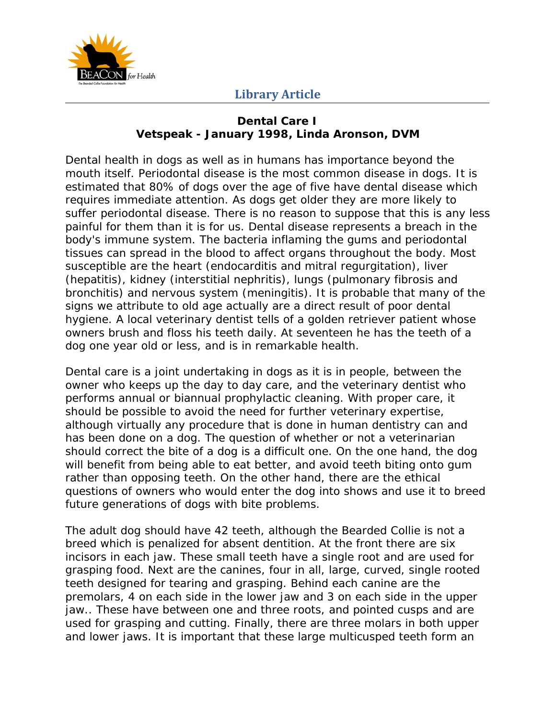

#### **Dental Care I Vetspeak - January 1998, Linda Aronson, DVM**

Dental health in dogs as well as in humans has importance beyond the mouth itself. Periodontal disease is the most common disease in dogs. It is estimated that 80% of dogs over the age of five have dental disease which requires immediate attention. As dogs get older they are more likely to suffer periodontal disease. There is no reason to suppose that this is any less painful for them than it is for us. Dental disease represents a breach in the body's immune system. The bacteria inflaming the gums and periodontal tissues can spread in the blood to affect organs throughout the body. Most susceptible are the heart (endocarditis and mitral regurgitation), liver (hepatitis), kidney (interstitial nephritis), lungs (pulmonary fibrosis and bronchitis) and nervous system (meningitis). It is probable that many of the signs we attribute to old age actually are a direct result of poor dental hygiene. A local veterinary dentist tells of a golden retriever patient whose owners brush and floss his teeth daily. At seventeen he has the teeth of a dog one year old or less, and is in remarkable health.

Dental care is a joint undertaking in dogs as it is in people, between the owner who keeps up the day to day care, and the veterinary dentist who performs annual or biannual prophylactic cleaning. With proper care, it should be possible to avoid the need for further veterinary expertise, although virtually any procedure that is done in human dentistry can and has been done on a dog. The question of whether or not a veterinarian should correct the bite of a dog is a difficult one. On the one hand, the dog will benefit from being able to eat better, and avoid teeth biting onto gum rather than opposing teeth. On the other hand, there are the ethical questions of owners who would enter the dog into shows and use it to breed future generations of dogs with bite problems.

The adult dog should have 42 teeth, although the Bearded Collie is not a breed which is penalized for absent dentition. At the front there are six incisors in each jaw. These small teeth have a single root and are used for grasping food. Next are the canines, four in all, large, curved, single rooted teeth designed for tearing and grasping. Behind each canine are the premolars, 4 on each side in the lower jaw and 3 on each side in the upper jaw.. These have between one and three roots, and pointed cusps and are used for grasping and cutting. Finally, there are three molars in both upper and lower jaws. It is important that these large multicusped teeth form an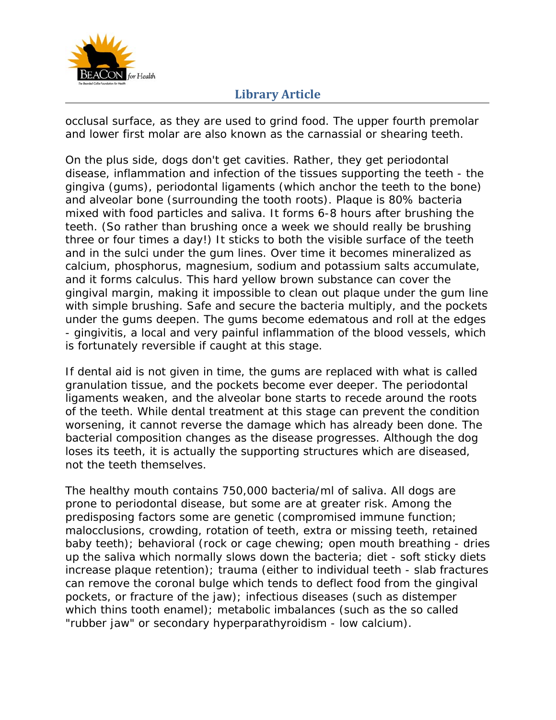

occlusal surface, as they are used to grind food. The upper fourth premolar and lower first molar are also known as the carnassial or shearing teeth.

On the plus side, dogs don't get cavities. Rather, they get periodontal disease, inflammation and infection of the tissues supporting the teeth - the gingiva (gums), periodontal ligaments (which anchor the teeth to the bone) and alveolar bone (surrounding the tooth roots). Plaque is 80% bacteria mixed with food particles and saliva. It forms 6-8 hours after brushing the teeth. (So rather than brushing once a week we should really be brushing three or four times a day!) It sticks to both the visible surface of the teeth and in the sulci under the gum lines. Over time it becomes mineralized as calcium, phosphorus, magnesium, sodium and potassium salts accumulate, and it forms calculus. This hard yellow brown substance can cover the gingival margin, making it impossible to clean out plaque under the gum line with simple brushing. Safe and secure the bacteria multiply, and the pockets under the gums deepen. The gums become edematous and roll at the edges - gingivitis, a local and very painful inflammation of the blood vessels, which is fortunately reversible if caught at this stage.

If dental aid is not given in time, the gums are replaced with what is called granulation tissue, and the pockets become ever deeper. The periodontal ligaments weaken, and the alveolar bone starts to recede around the roots of the teeth. While dental treatment at this stage can prevent the condition worsening, it cannot reverse the damage which has already been done. The bacterial composition changes as the disease progresses. Although the dog loses its teeth, it is actually the supporting structures which are diseased, not the teeth themselves.

The healthy mouth contains 750,000 bacteria/ml of saliva. All dogs are prone to periodontal disease, but some are at greater risk. Among the predisposing factors some are genetic (compromised immune function; malocclusions, crowding, rotation of teeth, extra or missing teeth, retained baby teeth); behavioral (rock or cage chewing; open mouth breathing - dries up the saliva which normally slows down the bacteria; diet - soft sticky diets increase plaque retention); trauma (either to individual teeth - slab fractures can remove the coronal bulge which tends to deflect food from the gingival pockets, or fracture of the jaw); infectious diseases (such as distemper which thins tooth enamel); metabolic imbalances (such as the so called "rubber jaw" or secondary hyperparathyroidism - low calcium).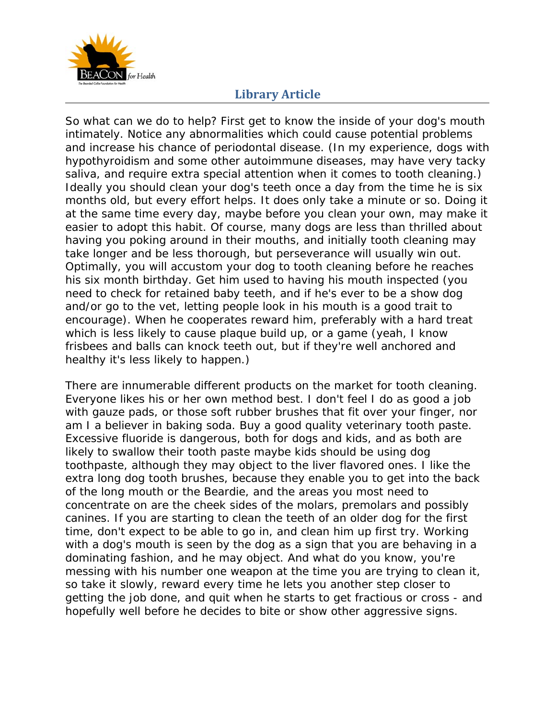

So what can we do to help? First get to know the inside of your dog's mouth intimately. Notice any abnormalities which could cause potential problems and increase his chance of periodontal disease. (In my experience, dogs with hypothyroidism and some other autoimmune diseases, may have very tacky saliva, and require extra special attention when it comes to tooth cleaning.) Ideally you should clean your dog's teeth once a day from the time he is six months old, but every effort helps. It does only take a minute or so. Doing it at the same time every day, maybe before you clean your own, may make it easier to adopt this habit. Of course, many dogs are less than thrilled about having you poking around in their mouths, and initially tooth cleaning may take longer and be less thorough, but perseverance will usually win out. Optimally, you will accustom your dog to tooth cleaning before he reaches his six month birthday. Get him used to having his mouth inspected (you need to check for retained baby teeth, and if he's ever to be a show dog and/or go to the vet, letting people look in his mouth is a good trait to encourage). When he cooperates reward him, preferably with a hard treat which is less likely to cause plaque build up, or a game (yeah, I know frisbees and balls can knock teeth out, but if they're well anchored and healthy it's less likely to happen.)

There are innumerable different products on the market for tooth cleaning. Everyone likes his or her own method best. I don't feel I do as good a job with gauze pads, or those soft rubber brushes that fit over your finger, nor am I a believer in baking soda. Buy a good quality veterinary tooth paste. Excessive fluoride is dangerous, both for dogs and kids, and as both are likely to swallow their tooth paste maybe kids should be using dog toothpaste, although they may object to the liver flavored ones. I like the extra long dog tooth brushes, because they enable you to get into the back of the long mouth or the Beardie, and the areas you most need to concentrate on are the cheek sides of the molars, premolars and possibly canines. If you are starting to clean the teeth of an older dog for the first time, don't expect to be able to go in, and clean him up first try. Working with a dog's mouth is seen by the dog as a sign that you are behaving in a dominating fashion, and he may object. And what do you know, you're messing with his number one weapon at the time you are trying to clean it, so take it slowly, reward every time he lets you another step closer to getting the job done, and quit when he starts to get fractious or cross - and hopefully well before he decides to bite or show other aggressive signs.